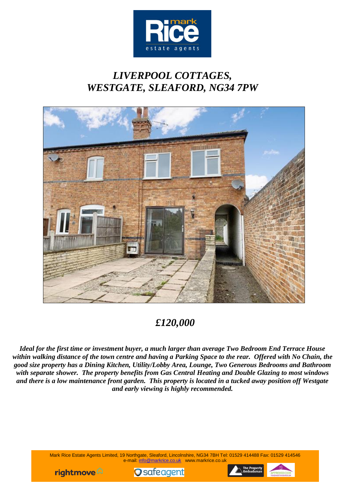

# *LIVERPOOL COTTAGES, WESTGATE, SLEAFORD, NG34 7PW*



## *£120,000*

*Ideal for the first time or investment buyer, a much larger than average Two Bedroom End Terrace House within walking distance of the town centre and having a Parking Space to the rear. Offered with No Chain, the good size property has a Dining Kitchen, Utility/Lobby Area, Lounge, Two Generous Bedrooms and Bathroom with separate shower. The property benefits from Gas Central Heating and Double Glazing to most windows and there is a low maintenance front garden. This property is located in a tucked away position off Westgate and early viewing is highly recommended.*

> Mark Rice Estate Agents Limited, 19 Northgate, Sleaford, Lincolnshire, NG34 7BH Tel: 01529 414488 Fax: 01529 414546 e-mail: info@markrice.co.uk www.markrice.co.uk





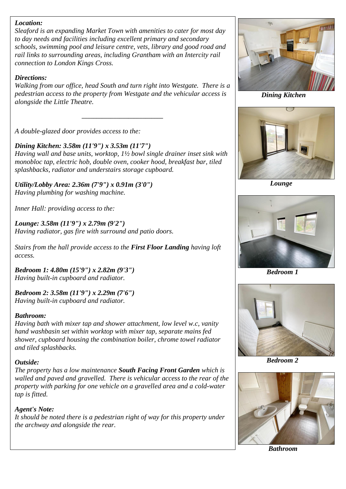#### *Location:*

*Sleaford is an expanding Market Town with amenities to cater for most day to day needs and facilities including excellent primary and secondary schools, swimming pool and leisure centre, vets, library and good road and rail links to surrounding areas, including Grantham with an Intercity rail connection to London Kings Cross.* 

#### *Directions:*

*Walking from our office, head South and turn right into Westgate. There is a pedestrian access to the property from Westgate and the vehicular access is alongside the Little Theatre.*

*\_\_\_\_\_\_\_\_\_\_\_\_\_\_\_\_\_\_\_\_\_\_\_\_\_\_\_\_*

*A double-glazed door provides access to the:*

*Dining Kitchen: 3.58m (11'9") x 3.53m (11'7") Having wall and base units, worktop, 1½ bowl single drainer inset sink with monobloc tap, electric hob, double oven, cooker hood, breakfast bar, tiled splashbacks, radiator and understairs storage cupboard.*

*Utility/Lobby Area: 2.36m (7'9") x 0.91m (3'0") Having plumbing for washing machine.*

*Inner Hall: providing access to the:*

*Lounge: 3.58m (11'9") x 2.79m (9'2") Having radiator, gas fire with surround and patio doors.*

*Stairs from the hall provide access to the First Floor Landing having loft access.*

*Bedroom 1: 4.80m (15'9") x 2.82m (9'3") Having built-in cupboard and radiator.*

*Bedroom 2: 3.58m (11'9") x 2.29m (7'6") Having built-in cupboard and radiator.*

#### *Bathroom:*

*Having bath with mixer tap and shower attachment, low level w.c, vanity hand washbasin set within worktop with mixer tap, separate mains fed shower, cupboard housing the combination boiler, chrome towel radiator and tiled splashbacks.*

### *Outside:*

*The property has a low maintenance South Facing Front Garden which is walled and paved and gravelled. There is vehicular access to the rear of the property with parking for one vehicle on a gravelled area and a cold-water tap is fitted.*

### *Agent's Note:*

*It should be noted there is a pedestrian right of way for this property under the archway and alongside the rear.*



*Dining Kitchen*



 *Lounge*



 *Bedroom 1*



 *Bedroom 2*



 *Bathroom*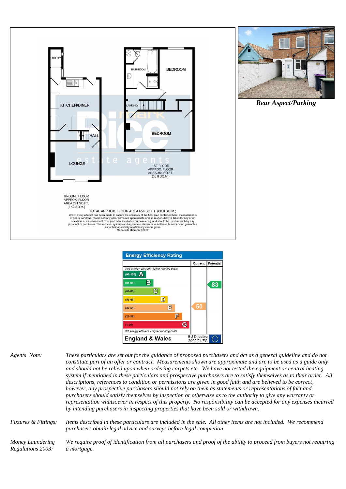





*Agents Note: These particulars are set out for the guidance of proposed purchasers and act as a general guideline and do not constitute part of an offer or contract. Measurements shown are approximate and are to be used as a guide only and should not be relied upon when ordering carpets etc. We have not tested the equipment or central heating system if mentioned in these particulars and prospective purchasers are to satisfy themselves as to their order. All descriptions, references to condition or permissions are given in good faith and are believed to be correct, however, any prospective purchasers should not rely on them as statements or representations of fact and purchasers should satisfy themselves by inspection or otherwise as to the authority to give any warranty or representation whatsoever in respect of this property. No responsibility can be accepted for any expenses incurred by intending purchasers in inspecting properties that have been sold or withdrawn.*

*Fixtures & Fittings: Items described in these particulars are included in the sale. All other items are not included. We recommend purchasers obtain legal advice and surveys before legal completion.*

*Money Laundering Regulations 2003: We require proof of identification from all purchasers and proof of the ability to proceed from buyers not requiring a mortgage.*